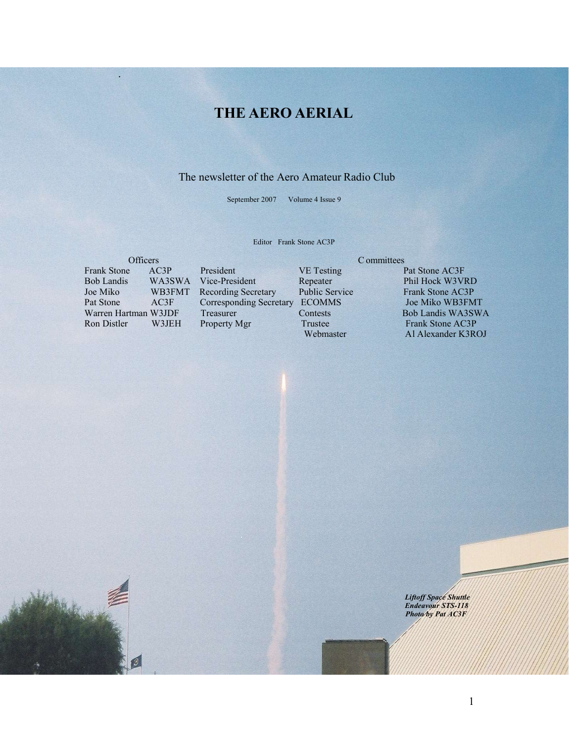# **THE AERO AERIAL**

### The newsletter of the Aero Amateur Radio Club

September 2007 Volume 4 Issue 9

Editor Frank Stone AC3P

### Officers Committees<br>
Frank Stone AC3P President VE Testing I Frank Stone AC3P President VE Testing Pat Stone AC3F Bob Landis WA3SWA Vice-President Repeater Phil Hock W3VI Joe Miko WB3FMT Recording Secretary Public Service Frank Stone AC3P Pat Stone AC3F Corresponding Secretary ECOMMS Joe Miko WB3FMT Warren Hartman W3JDF Treasurer Contests Bob Landis WA3SWA Warren Hartman W3JDF Treasurer Contests Ron Distler W3JEH Property Mgr Trustee Frank Stone AC3P

 $\circ$ 

.

WA3SWA Vice-President Repeater Phil Hock W3VRD

Webmaster Al Alexander K3ROJ

*Liftoff Space Shuttle Endeavour STS-118 Photo by Pat AC3F*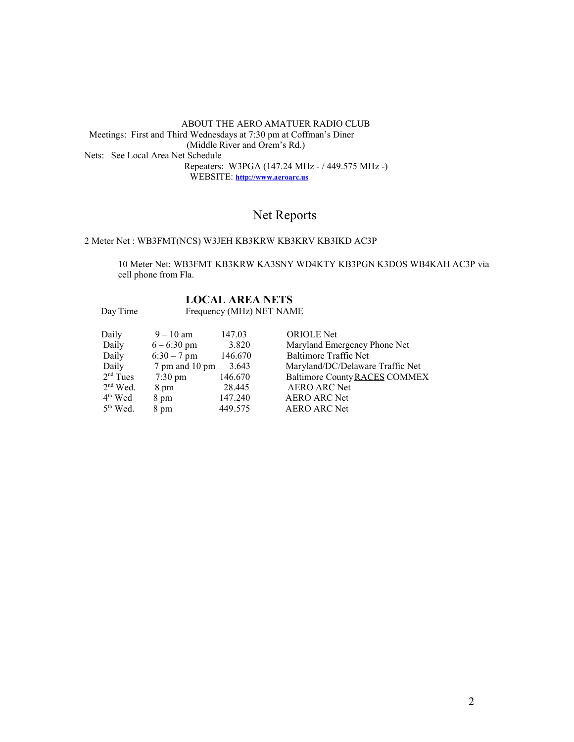ABOUT THE AERO AMATUER RADIO CLUB Meetings: First and Third Wednesdays at 7:30 pm at Coffman's Diner (Middle River and Orem's Rd.) Nets: See Local Area Net Schedule Repeaters: W3PGA (147.24 MHz - / 449.575 MHz -) WEBSITE: **http://www.aeroarc.us**

### Net Reports

### 2 Meter Net : WB3FMT(NCS) W3JEH KB3KRW KB3KRV KB3IKD AC3P

10 Meter Net: WB3FMT KB3KRW KA3SNY WD4KTY KB3PGN K3DOS WB4KAH AC3P via cell phone from Fla.

### **LOCAL AREA NETS**

Day Time Frequency (MHz) NET NAME

| Daily                | $9 - 10$ am           | 147.03  | <b>ORIOLE</b> Net                |
|----------------------|-----------------------|---------|----------------------------------|
| Daily                | $6 - 6:30 \text{ pm}$ | 3.820   | Maryland Emergency Phone Net     |
| Daily                | $6:30 - 7$ pm         | 146.670 | <b>Baltimore Traffic Net</b>     |
| Daily                | 7 pm and 10 pm        | 3.643   | Maryland/DC/Delaware Traffic Net |
| $2nd$ Tues           | $7:30 \text{ pm}$     | 146.670 | Baltimore County RACES COMMEX    |
| $2nd$ Wed.           | 8 pm                  | 28.445  | <b>AERO ARC Net</b>              |
| $4th$ Wed            | 8 pm                  | 147.240 | <b>AERO ARC Net</b>              |
| 5 <sup>th</sup> Wed. | 8 pm                  | 449.575 | <b>AERO ARC Net</b>              |
|                      |                       |         |                                  |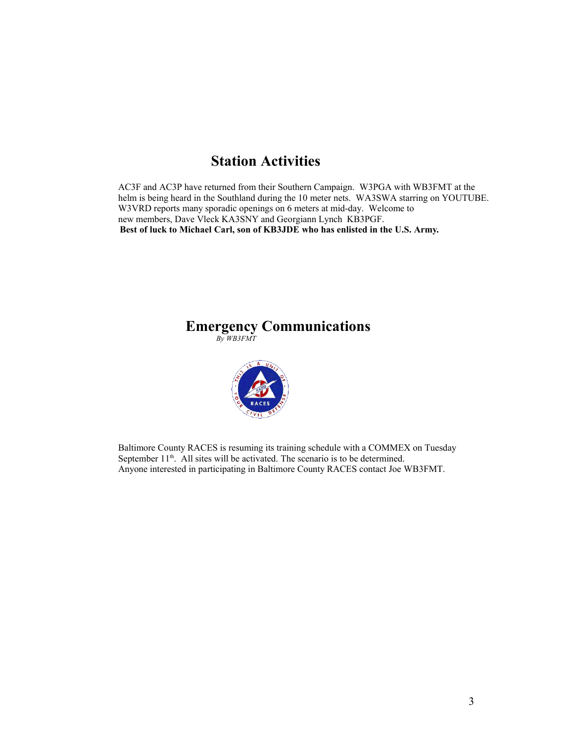# **Station Activities**

AC3F and AC3P have returned from their Southern Campaign. W3PGA with WB3FMT at the helm is being heard in the Southland during the 10 meter nets. WA3SWA starring on YOUTUBE. W3VRD reports many sporadic openings on 6 meters at mid-day. Welcome to new members, Dave Vleck KA3SNY and Georgiann Lynch KB3PGF.  **Best of luck to Michael Carl, son of KB3JDE who has enlisted in the U.S. Army.**

## **Emergency Communications**

 *By WB3FMT*



Baltimore County RACES is resuming its training schedule with a COMMEX on Tuesday September 11<sup>th</sup>. All sites will be activated. The scenario is to be determined. Anyone interested in participating in Baltimore County RACES contact Joe WB3FMT.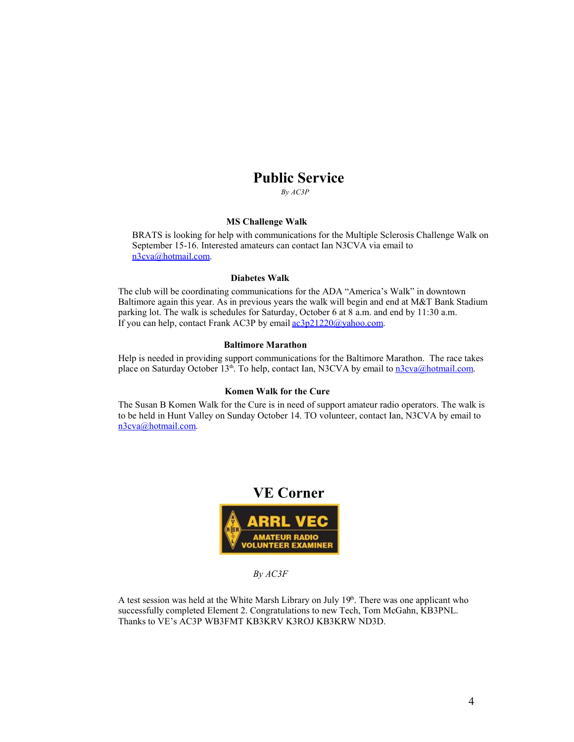# **Public Service**

 *By AC3P*

#### **MS Challenge Walk**

BRATS is looking for help with communications for the Multiple Sclerosis Challenge Walk on September 15-16. Interested amateurs can contact Ian N3CVA via email to n3cva@hotmail.com.

#### **Diabetes Walk**

The club will be coordinating communications for the ADA "America's Walk" in downtown Baltimore again this year. As in previous years the walk will begin and end at M&T Bank Stadium parking lot. The walk is schedules for Saturday, October 6 at 8 a.m. and end by 11:30 a.m. If you can help, contact Frank AC3P by email  $a c3p21220@yahoo.com$ .

#### **Baltimore Marathon**

Help is needed in providing support communications for the Baltimore Marathon. The race takes place on Saturday October 13<sup>th</sup>. To help, contact Ian, N3CVA by email to n3cva@hotmail.com.

#### **Komen Walk for the Cure**

The Susan B Komen Walk for the Cure is in need of support amateur radio operators. The walk is to be held in Hunt Valley on Sunday October 14. TO volunteer, contact Ian, N3CVA by email to n3cva@hotmail.com.

### **VE Corner**



*By AC3F*

A test session was held at the White Marsh Library on July  $19<sup>th</sup>$ . There was one applicant who successfully completed Element 2. Congratulations to new Tech, Tom McGahn, KB3PNL. Thanks to VE's AC3P WB3FMT KB3KRV K3ROJ KB3KRW ND3D.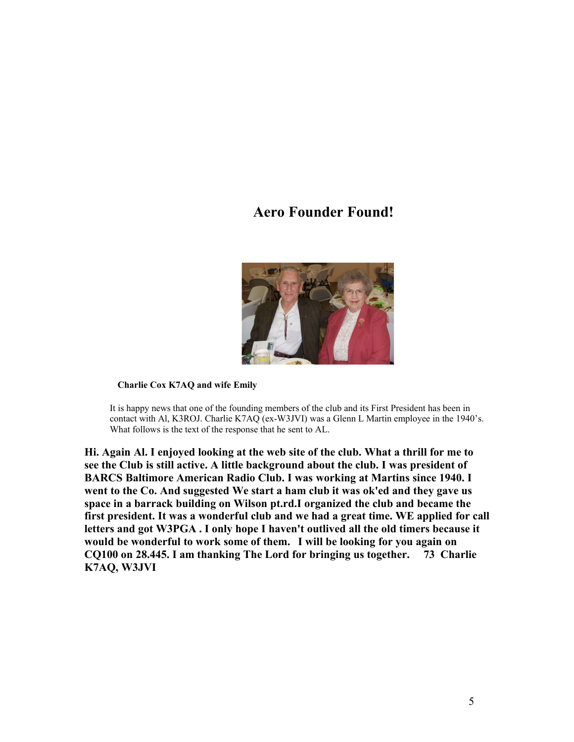### **Aero Founder Found!**



#### **Charlie Cox K7AQ and wife Emily**

It is happy news that one of the founding members of the club and its First President has been in contact with Al, K3ROJ. Charlie K7AQ (ex-W3JVI) was a Glenn L Martin employee in the 1940's. What follows is the text of the response that he sent to AL.

**Hi. Again Al. I enjoyed looking at the web site of the club. What a thrill for me to see the Club is still active. A little background about the club. I was president of BARCS Baltimore American Radio Club. I was working at Martins since 1940. I went to the Co. And suggested We start a ham club it was ok'ed and they gave us space in a barrack building on Wilson pt.rd.I organized the club and became the first president. It was a wonderful club and we had a great time. WE applied for call letters and got W3PGA . I only hope I haven't outlived all the old timers because it would be wonderful to work some of them. I will be looking for you again on CQ100 on 28.445. I am thanking The Lord for bringing us together. 73 Charlie K7AQ, W3JVI**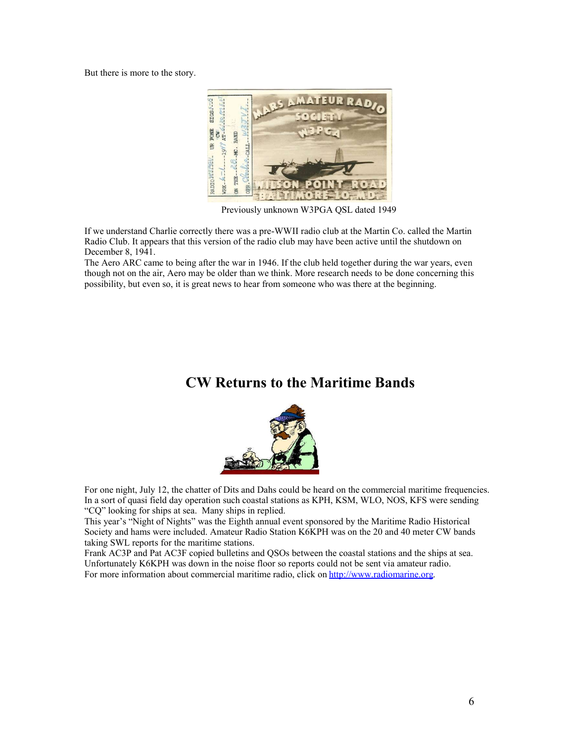But there is more to the story.



Previously unknown W3PGA QSL dated 1949

If we understand Charlie correctly there was a pre-WWII radio club at the Martin Co. called the Martin Radio Club. It appears that this version of the radio club may have been active until the shutdown on December 8, 1941.

The Aero ARC came to being after the war in 1946. If the club held together during the war years, even though not on the air, Aero may be older than we think. More research needs to be done concerning this possibility, but even so, it is great news to hear from someone who was there at the beginning.

# **CW Returns to the Maritime Bands**



For one night, July 12, the chatter of Dits and Dahs could be heard on the commercial maritime frequencies. In a sort of quasi field day operation such coastal stations as KPH, KSM, WLO, NOS, KFS were sending "CQ" looking for ships at sea. Many ships in replied.

This year's "Night of Nights" was the Eighth annual event sponsored by the Maritime Radio Historical Society and hams were included. Amateur Radio Station K6KPH was on the 20 and 40 meter CW bands taking SWL reports for the maritime stations.

Frank AC3P and Pat AC3F copied bulletins and QSOs between the coastal stations and the ships at sea. Unfortunately K6KPH was down in the noise floor so reports could not be sent via amateur radio. For more information about commercial maritime radio, click on http://www.radiomarine.org.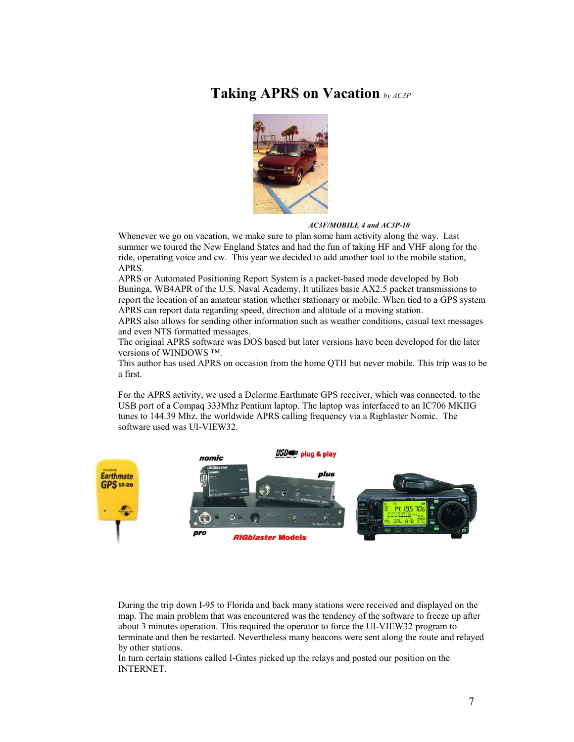### **Taking APRS on Vacation** *by AC3P*



#### *AC3F/MOBILE 4 and AC3P-10*

Whenever we go on vacation, we make sure to plan some ham activity along the way. Last summer we toured the New England States and had the fun of taking HF and VHF along for the ride, operating voice and cw. This year we decided to add another tool to the mobile station, APRS.

APRS or Automated Positioning Report System is a packet-based mode developed by Bob Buninga, WB4APR of the U.S. Naval Academy. It utilizes basic AX2.5 packet transmissions to report the location of an amateur station whether stationary or mobile. When tied to a GPS system APRS can report data regarding speed, direction and altitude of a moving station.

APRS also allows for sending other information such as weather conditions, casual text messages and even NTS formatted messages.

The original APRS software was DOS based but later versions have been developed for the later versions of WINDOWS ™.

This author has used APRS on occasion from the home QTH but never mobile. This trip was to be a first.

For the APRS activity, we used a Delorme Earthmate GPS receiver, which was connected, to the USB port of a Compaq 333Mhz Pentium laptop. The laptop was interfaced to an IC706 MKIIG tunes to 144.39 Mhz. the worldwide APRS calling frequency via a Rigblaster Nomic. The software used was UI-VIEW32.



During the trip down I-95 to Florida and back many stations were received and displayed on the map. The main problem that was encountered was the tendency of the software to freeze up after about 3 minutes operation. This required the operator to force the UI-VIEW32 program to terminate and then be restarted. Nevertheless many beacons were sent along the route and relayed by other stations.

In turn certain stations called I-Gates picked up the relays and posted our position on the INTERNET.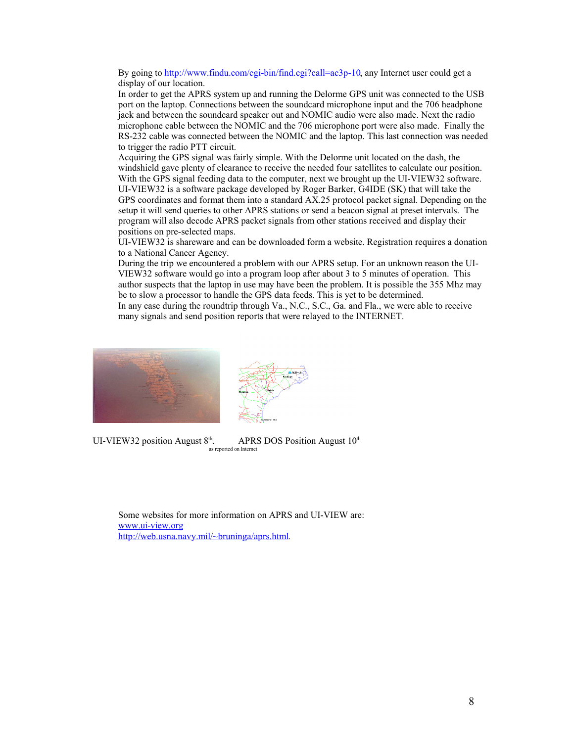By going to http://www.findu.com/cgi-bin/find.cgi?call=ac3p-10, any Internet user could get a display of our location.

In order to get the APRS system up and running the Delorme GPS unit was connected to the USB port on the laptop. Connections between the soundcard microphone input and the 706 headphone jack and between the soundcard speaker out and NOMIC audio were also made. Next the radio microphone cable between the NOMIC and the 706 microphone port were also made. Finally the RS-232 cable was connected between the NOMIC and the laptop. This last connection was needed to trigger the radio PTT circuit.

Acquiring the GPS signal was fairly simple. With the Delorme unit located on the dash, the windshield gave plenty of clearance to receive the needed four satellites to calculate our position. With the GPS signal feeding data to the computer, next we brought up the UI-VIEW32 software. UI-VIEW32 is a software package developed by Roger Barker, G4IDE (SK) that will take the GPS coordinates and format them into a standard AX.25 protocol packet signal. Depending on the setup it will send queries to other APRS stations or send a beacon signal at preset intervals. The program will also decode APRS packet signals from other stations received and display their positions on pre-selected maps.

UI-VIEW32 is shareware and can be downloaded form a website. Registration requires a donation to a National Cancer Agency.

During the trip we encountered a problem with our APRS setup. For an unknown reason the UI-VIEW32 software would go into a program loop after about 3 to 5 minutes of operation. This author suspects that the laptop in use may have been the problem. It is possible the 355 Mhz may be to slow a processor to handle the GPS data feeds. This is yet to be determined.

In any case during the roundtrip through Va., N.C., S.C., Ga. and Fla., we were able to receive many signals and send position reports that were relayed to the INTERNET.



UI-VIEW32 position August  $8<sup>th</sup>$ 



APRS DOS Position August  $10<sup>th</sup>$ as reported on Internet

Some websites for more information on APRS and UI-VIEW are: www.ui-view.org http://web.usna.navy.mil/~bruninga/aprs.html.